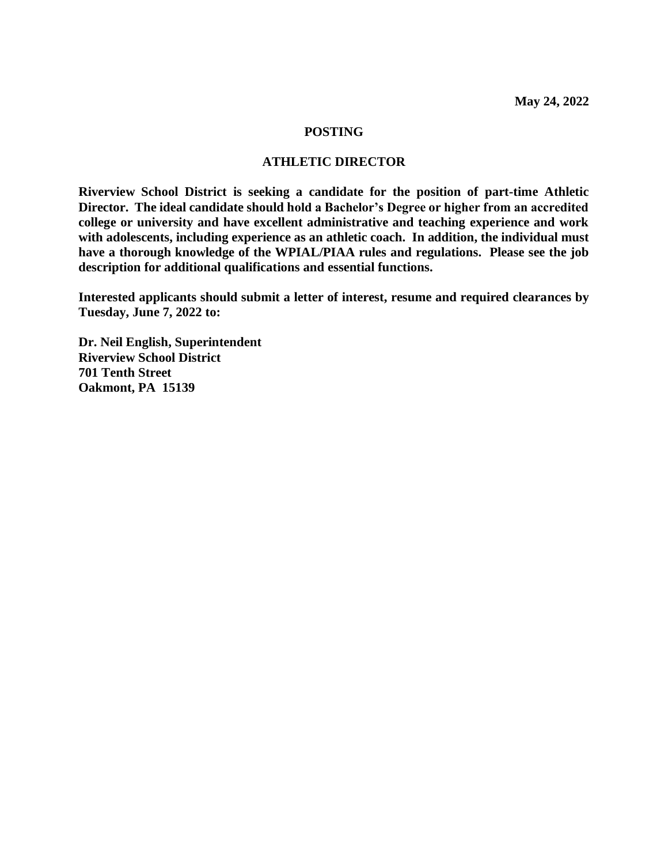#### **POSTING**

### **ATHLETIC DIRECTOR**

**Riverview School District is seeking a candidate for the position of part-time Athletic Director. The ideal candidate should hold a Bachelor's Degree or higher from an accredited college or university and have excellent administrative and teaching experience and work with adolescents, including experience as an athletic coach. In addition, the individual must have a thorough knowledge of the WPIAL/PIAA rules and regulations. Please see the job description for additional qualifications and essential functions.** 

**Interested applicants should submit a letter of interest, resume and required clearances by Tuesday, June 7, 2022 to:**

**Dr. Neil English, Superintendent Riverview School District 701 Tenth Street Oakmont, PA 15139**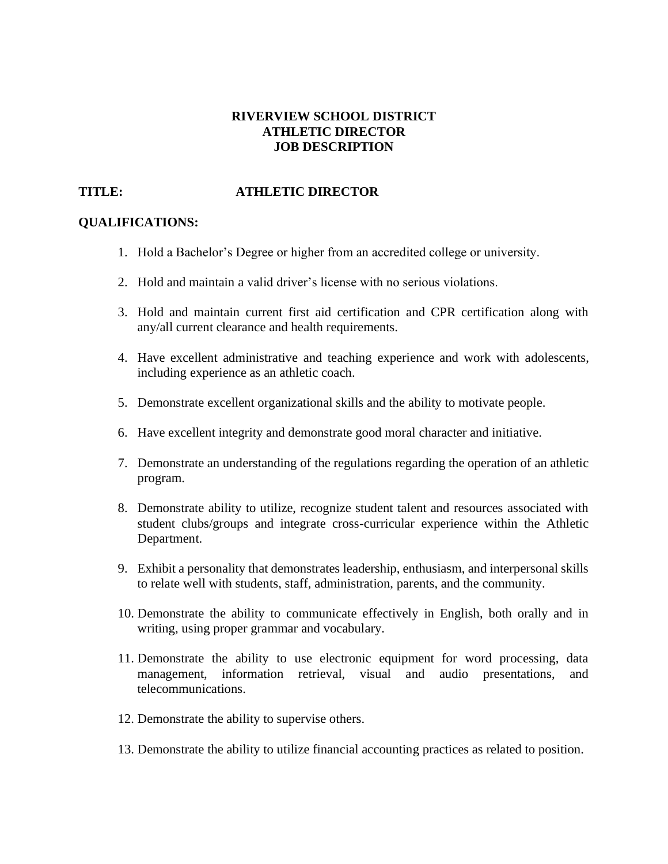## **RIVERVIEW SCHOOL DISTRICT ATHLETIC DIRECTOR JOB DESCRIPTION**

# **TITLE: ATHLETIC DIRECTOR**

# **QUALIFICATIONS:**

- 1. Hold a Bachelor's Degree or higher from an accredited college or university.
- 2. Hold and maintain a valid driver's license with no serious violations.
- 3. Hold and maintain current first aid certification and CPR certification along with any/all current clearance and health requirements.
- 4. Have excellent administrative and teaching experience and work with adolescents, including experience as an athletic coach.
- 5. Demonstrate excellent organizational skills and the ability to motivate people.
- 6. Have excellent integrity and demonstrate good moral character and initiative.
- 7. Demonstrate an understanding of the regulations regarding the operation of an athletic program.
- 8. Demonstrate ability to utilize, recognize student talent and resources associated with student clubs/groups and integrate cross-curricular experience within the Athletic Department.
- 9. Exhibit a personality that demonstrates leadership, enthusiasm, and interpersonal skills to relate well with students, staff, administration, parents, and the community.
- 10. Demonstrate the ability to communicate effectively in English, both orally and in writing, using proper grammar and vocabulary.
- 11. Demonstrate the ability to use electronic equipment for word processing, data management, information retrieval, visual and audio presentations, and telecommunications.
- 12. Demonstrate the ability to supervise others.
- 13. Demonstrate the ability to utilize financial accounting practices as related to position.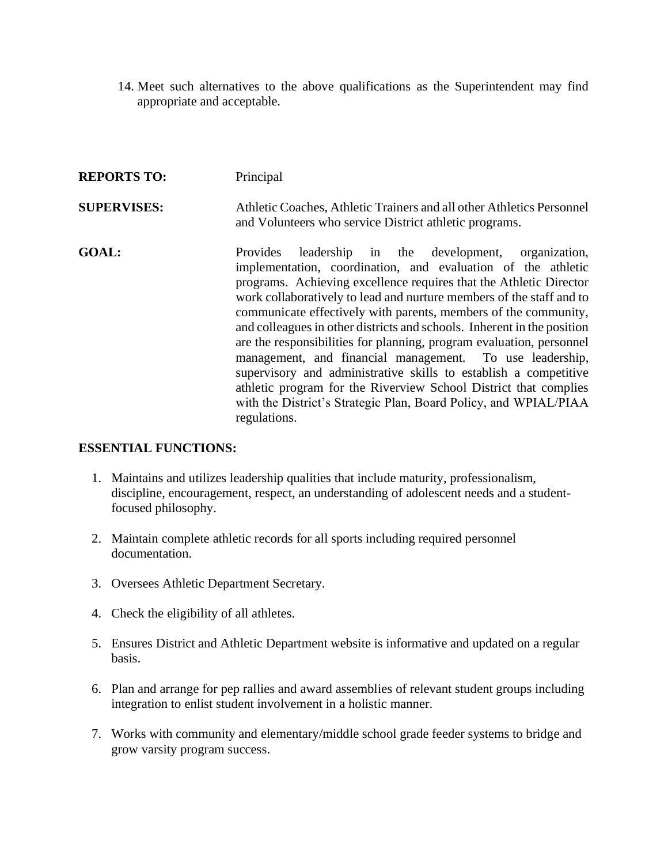14. Meet such alternatives to the above qualifications as the Superintendent may find appropriate and acceptable.

| <b>REPORTS TO:</b> | Principal                                                                                                                                                                                                                                                                                                                                                                                                                                                                                                                                                                                                                                                                                                                                                                                   |
|--------------------|---------------------------------------------------------------------------------------------------------------------------------------------------------------------------------------------------------------------------------------------------------------------------------------------------------------------------------------------------------------------------------------------------------------------------------------------------------------------------------------------------------------------------------------------------------------------------------------------------------------------------------------------------------------------------------------------------------------------------------------------------------------------------------------------|
| <b>SUPERVISES:</b> | Athletic Coaches, Athletic Trainers and all other Athletics Personnel<br>and Volunteers who service District athletic programs.                                                                                                                                                                                                                                                                                                                                                                                                                                                                                                                                                                                                                                                             |
| <b>GOAL:</b>       | leadership in the development, organization,<br><b>Provides</b><br>implementation, coordination, and evaluation of the athletic<br>programs. Achieving excellence requires that the Athletic Director<br>work collaboratively to lead and nurture members of the staff and to<br>communicate effectively with parents, members of the community,<br>and colleagues in other districts and schools. Inherent in the position<br>are the responsibilities for planning, program evaluation, personnel<br>management, and financial management. To use leadership,<br>supervisory and administrative skills to establish a competitive<br>athletic program for the Riverview School District that complies<br>with the District's Strategic Plan, Board Policy, and WPIAL/PIAA<br>regulations. |

### **ESSENTIAL FUNCTIONS:**

- 1. Maintains and utilizes leadership qualities that include maturity, professionalism, discipline, encouragement, respect, an understanding of adolescent needs and a studentfocused philosophy.
- 2. Maintain complete athletic records for all sports including required personnel documentation.
- 3. Oversees Athletic Department Secretary.
- 4. Check the eligibility of all athletes.
- 5. Ensures District and Athletic Department website is informative and updated on a regular basis.
- 6. Plan and arrange for pep rallies and award assemblies of relevant student groups including integration to enlist student involvement in a holistic manner.
- 7. Works with community and elementary/middle school grade feeder systems to bridge and grow varsity program success.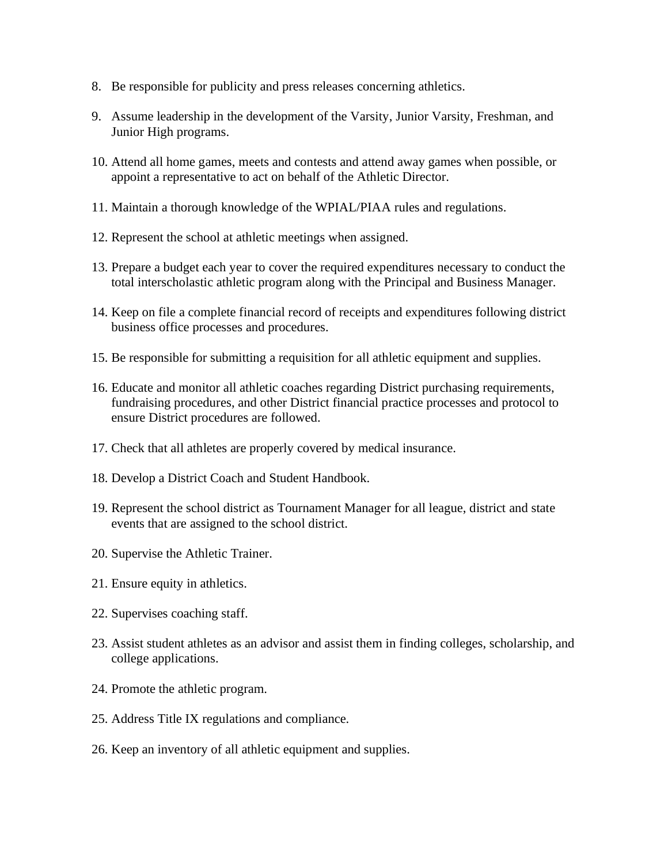- 8. Be responsible for publicity and press releases concerning athletics.
- 9. Assume leadership in the development of the Varsity, Junior Varsity, Freshman, and Junior High programs.
- 10. Attend all home games, meets and contests and attend away games when possible, or appoint a representative to act on behalf of the Athletic Director.
- 11. Maintain a thorough knowledge of the WPIAL/PIAA rules and regulations.
- 12. Represent the school at athletic meetings when assigned.
- 13. Prepare a budget each year to cover the required expenditures necessary to conduct the total interscholastic athletic program along with the Principal and Business Manager.
- 14. Keep on file a complete financial record of receipts and expenditures following district business office processes and procedures.
- 15. Be responsible for submitting a requisition for all athletic equipment and supplies.
- 16. Educate and monitor all athletic coaches regarding District purchasing requirements, fundraising procedures, and other District financial practice processes and protocol to ensure District procedures are followed.
- 17. Check that all athletes are properly covered by medical insurance.
- 18. Develop a District Coach and Student Handbook.
- 19. Represent the school district as Tournament Manager for all league, district and state events that are assigned to the school district.
- 20. Supervise the Athletic Trainer.
- 21. Ensure equity in athletics.
- 22. Supervises coaching staff.
- 23. Assist student athletes as an advisor and assist them in finding colleges, scholarship, and college applications.
- 24. Promote the athletic program.
- 25. Address Title IX regulations and compliance.
- 26. Keep an inventory of all athletic equipment and supplies.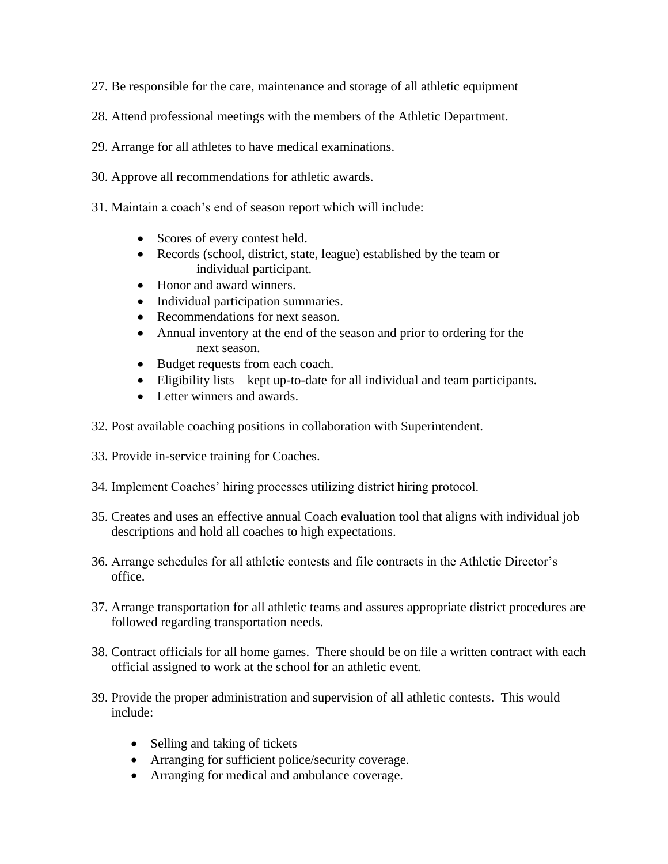- 27. Be responsible for the care, maintenance and storage of all athletic equipment
- 28. Attend professional meetings with the members of the Athletic Department.
- 29. Arrange for all athletes to have medical examinations.
- 30. Approve all recommendations for athletic awards.
- 31. Maintain a coach's end of season report which will include:
	- Scores of every contest held.
	- Records (school, district, state, league) established by the team or individual participant.
	- Honor and award winners.
	- Individual participation summaries.
	- Recommendations for next season.
	- Annual inventory at the end of the season and prior to ordering for the next season.
	- Budget requests from each coach.
	- Eligibility lists kept up-to-date for all individual and team participants.
	- Letter winners and awards.
- 32. Post available coaching positions in collaboration with Superintendent.
- 33. Provide in-service training for Coaches.
- 34. Implement Coaches' hiring processes utilizing district hiring protocol.
- 35. Creates and uses an effective annual Coach evaluation tool that aligns with individual job descriptions and hold all coaches to high expectations.
- 36. Arrange schedules for all athletic contests and file contracts in the Athletic Director's office.
- 37. Arrange transportation for all athletic teams and assures appropriate district procedures are followed regarding transportation needs.
- 38. Contract officials for all home games. There should be on file a written contract with each official assigned to work at the school for an athletic event.
- 39. Provide the proper administration and supervision of all athletic contests. This would include:
	- Selling and taking of tickets
	- Arranging for sufficient police/security coverage.
	- Arranging for medical and ambulance coverage.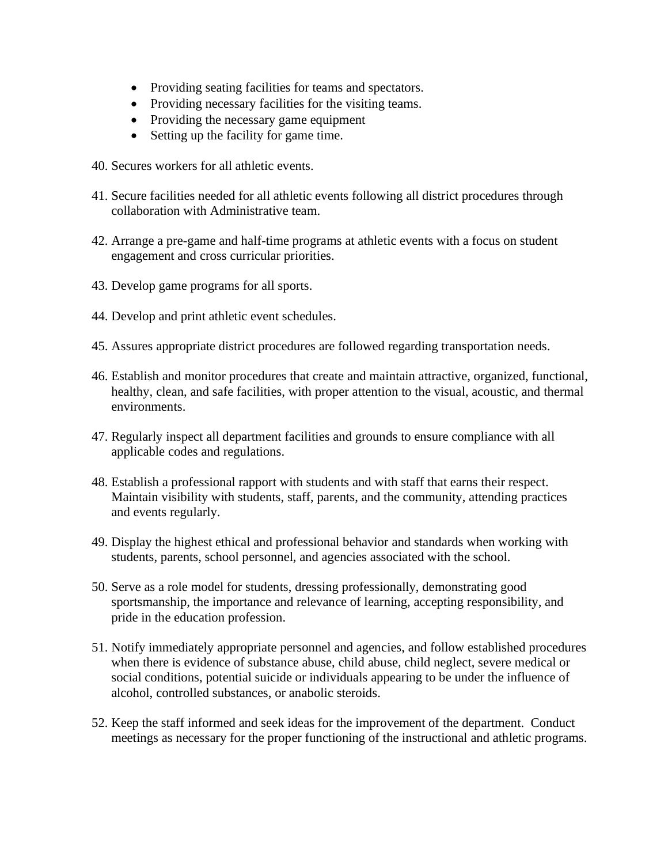- Providing seating facilities for teams and spectators.
- Providing necessary facilities for the visiting teams.
- Providing the necessary game equipment
- Setting up the facility for game time.
- 40. Secures workers for all athletic events.
- 41. Secure facilities needed for all athletic events following all district procedures through collaboration with Administrative team.
- 42. Arrange a pre-game and half-time programs at athletic events with a focus on student engagement and cross curricular priorities.
- 43. Develop game programs for all sports.
- 44. Develop and print athletic event schedules.
- 45. Assures appropriate district procedures are followed regarding transportation needs.
- 46. Establish and monitor procedures that create and maintain attractive, organized, functional, healthy, clean, and safe facilities, with proper attention to the visual, acoustic, and thermal environments.
- 47. Regularly inspect all department facilities and grounds to ensure compliance with all applicable codes and regulations.
- 48. Establish a professional rapport with students and with staff that earns their respect. Maintain visibility with students, staff, parents, and the community, attending practices and events regularly.
- 49. Display the highest ethical and professional behavior and standards when working with students, parents, school personnel, and agencies associated with the school.
- 50. Serve as a role model for students, dressing professionally, demonstrating good sportsmanship, the importance and relevance of learning, accepting responsibility, and pride in the education profession.
- 51. Notify immediately appropriate personnel and agencies, and follow established procedures when there is evidence of substance abuse, child abuse, child neglect, severe medical or social conditions, potential suicide or individuals appearing to be under the influence of alcohol, controlled substances, or anabolic steroids.
- 52. Keep the staff informed and seek ideas for the improvement of the department. Conduct meetings as necessary for the proper functioning of the instructional and athletic programs.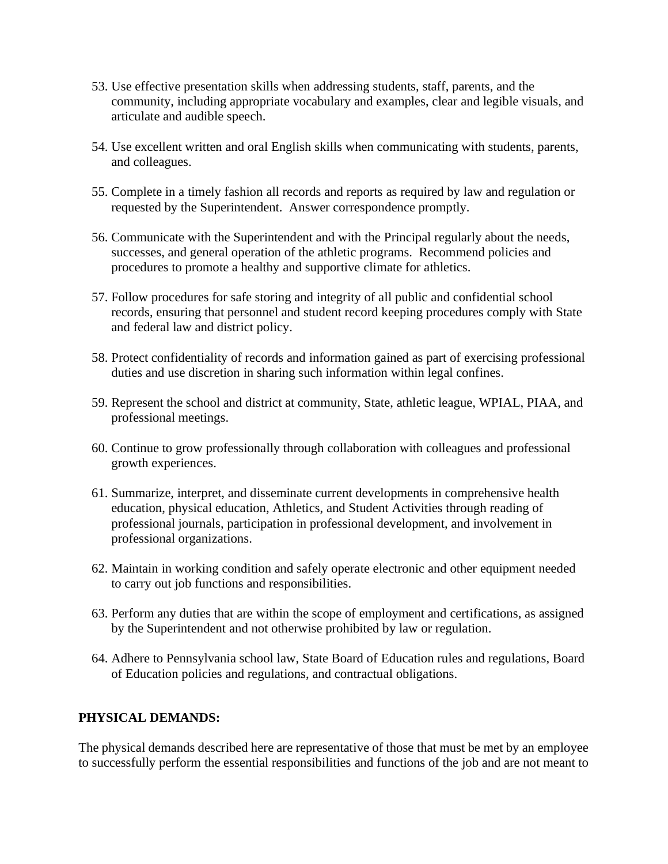- 53. Use effective presentation skills when addressing students, staff, parents, and the community, including appropriate vocabulary and examples, clear and legible visuals, and articulate and audible speech.
- 54. Use excellent written and oral English skills when communicating with students, parents, and colleagues.
- 55. Complete in a timely fashion all records and reports as required by law and regulation or requested by the Superintendent. Answer correspondence promptly.
- 56. Communicate with the Superintendent and with the Principal regularly about the needs, successes, and general operation of the athletic programs. Recommend policies and procedures to promote a healthy and supportive climate for athletics.
- 57. Follow procedures for safe storing and integrity of all public and confidential school records, ensuring that personnel and student record keeping procedures comply with State and federal law and district policy.
- 58. Protect confidentiality of records and information gained as part of exercising professional duties and use discretion in sharing such information within legal confines.
- 59. Represent the school and district at community, State, athletic league, WPIAL, PIAA, and professional meetings.
- 60. Continue to grow professionally through collaboration with colleagues and professional growth experiences.
- 61. Summarize, interpret, and disseminate current developments in comprehensive health education, physical education, Athletics, and Student Activities through reading of professional journals, participation in professional development, and involvement in professional organizations.
- 62. Maintain in working condition and safely operate electronic and other equipment needed to carry out job functions and responsibilities.
- 63. Perform any duties that are within the scope of employment and certifications, as assigned by the Superintendent and not otherwise prohibited by law or regulation.
- 64. Adhere to Pennsylvania school law, State Board of Education rules and regulations, Board of Education policies and regulations, and contractual obligations.

# **PHYSICAL DEMANDS:**

The physical demands described here are representative of those that must be met by an employee to successfully perform the essential responsibilities and functions of the job and are not meant to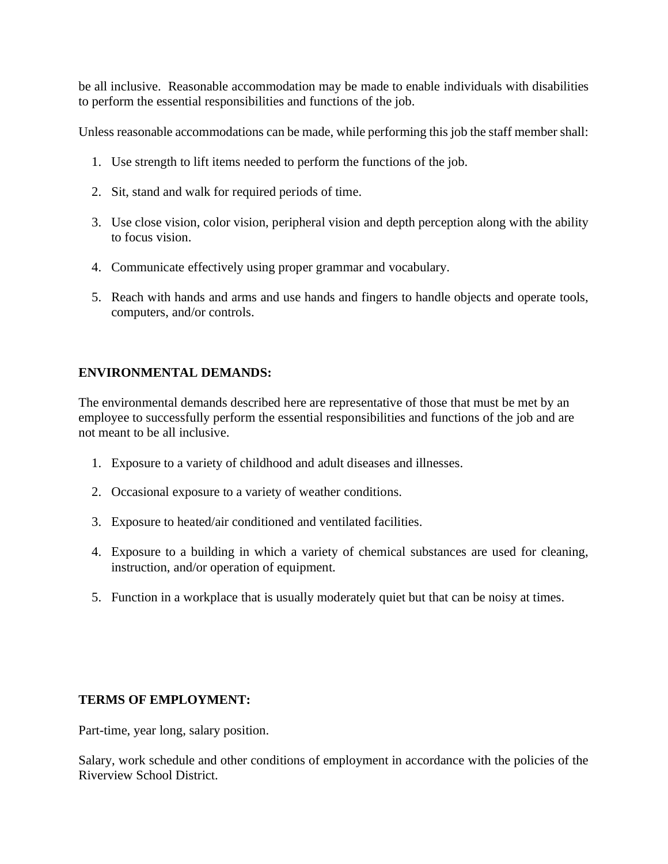be all inclusive. Reasonable accommodation may be made to enable individuals with disabilities to perform the essential responsibilities and functions of the job.

Unless reasonable accommodations can be made, while performing this job the staff member shall:

- 1. Use strength to lift items needed to perform the functions of the job.
- 2. Sit, stand and walk for required periods of time.
- 3. Use close vision, color vision, peripheral vision and depth perception along with the ability to focus vision.
- 4. Communicate effectively using proper grammar and vocabulary.
- 5. Reach with hands and arms and use hands and fingers to handle objects and operate tools, computers, and/or controls.

# **ENVIRONMENTAL DEMANDS:**

The environmental demands described here are representative of those that must be met by an employee to successfully perform the essential responsibilities and functions of the job and are not meant to be all inclusive.

- 1. Exposure to a variety of childhood and adult diseases and illnesses.
- 2. Occasional exposure to a variety of weather conditions.
- 3. Exposure to heated/air conditioned and ventilated facilities.
- 4. Exposure to a building in which a variety of chemical substances are used for cleaning, instruction, and/or operation of equipment.
- 5. Function in a workplace that is usually moderately quiet but that can be noisy at times.

# **TERMS OF EMPLOYMENT:**

Part-time, year long, salary position.

Salary, work schedule and other conditions of employment in accordance with the policies of the Riverview School District.